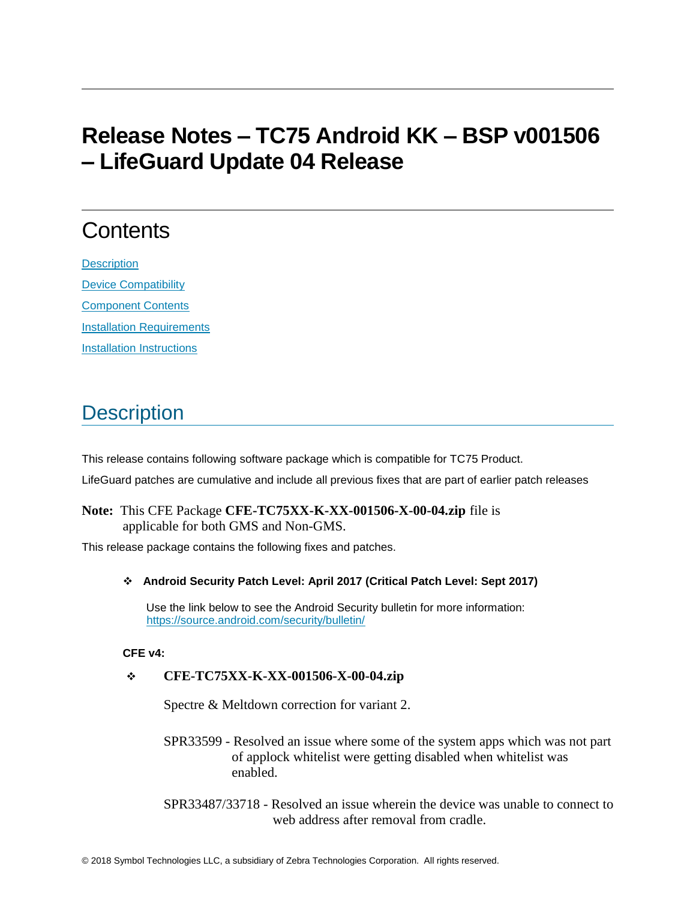# **Release Notes – TC75 Android KK – BSP v001506 – LifeGuard Update 04 Release**

# **Contents**

**[Description](#page-0-0)** [Device Compatibility](#page-2-0) [Component Contents](#page-2-1) [Installation Requirements](#page-3-0) [Installation Instructions](#page-3-1)

## <span id="page-0-0"></span>**Description**

This release contains following software package which is compatible for TC75 Product. LifeGuard patches are cumulative and include all previous fixes that are part of earlier patch releases

#### **Note:** This CFE Package **CFE-TC75XX-K-XX-001506-X-00-04.zip** file is applicable for both GMS and Non-GMS.

This release package contains the following fixes and patches.

❖ **Android Security Patch Level: April 2017 (Critical Patch Level: Sept 2017)**

Use the link below to see the Android Security bulletin for more information: <https://source.android.com/security/bulletin/>

**CFE v4:** 

#### ❖ **CFE-TC75XX-K-XX-001506-X-00-04.zip**

Spectre & Meltdown correction for variant 2.

SPR33599 - Resolved an issue where some of the system apps which was not part of applock whitelist were getting disabled when whitelist was enabled.

SPR33487/33718 - Resolved an issue wherein the device was unable to connect to web address after removal from cradle.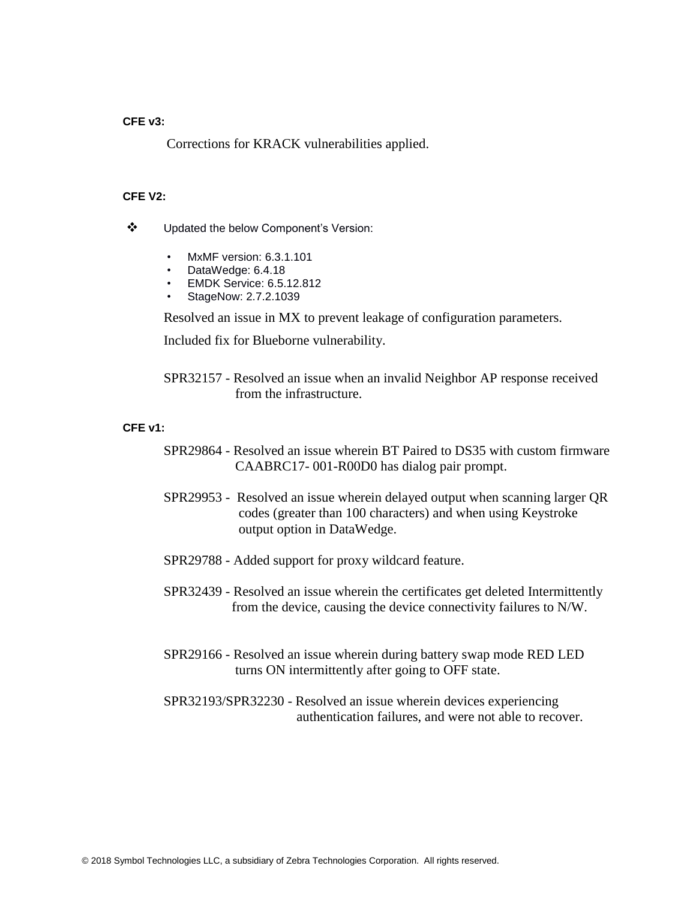#### **CFE v3:**

Corrections for KRACK vulnerabilities applied.

#### **CFE V2:**

- ❖ Updated the below Component's Version:
	- MxMF version: 6.3.1.101
	- DataWedge: 6.4.18
	- EMDK Service: 6.5.12.812
	- StageNow: 2.7.2.1039

Resolved an issue in MX to prevent leakage of configuration parameters.

Included fix for Blueborne vulnerability.

SPR32157 - Resolved an issue when an invalid Neighbor AP response received from the infrastructure.

#### **CFE v1:**

- SPR29864 Resolved an issue wherein BT Paired to DS35 with custom firmware CAABRC17- 001-R00D0 has dialog pair prompt.
- SPR29953 Resolved an issue wherein delayed output when scanning larger QR codes (greater than 100 characters) and when using Keystroke output option in DataWedge.
- SPR29788 Added support for proxy wildcard feature.
- SPR32439 Resolved an issue wherein the certificates get deleted Intermittently from the device, causing the device connectivity failures to N/W.
- SPR29166 Resolved an issue wherein during battery swap mode RED LED turns ON intermittently after going to OFF state.
- SPR32193/SPR32230 Resolved an issue wherein devices experiencing authentication failures, and were not able to recover.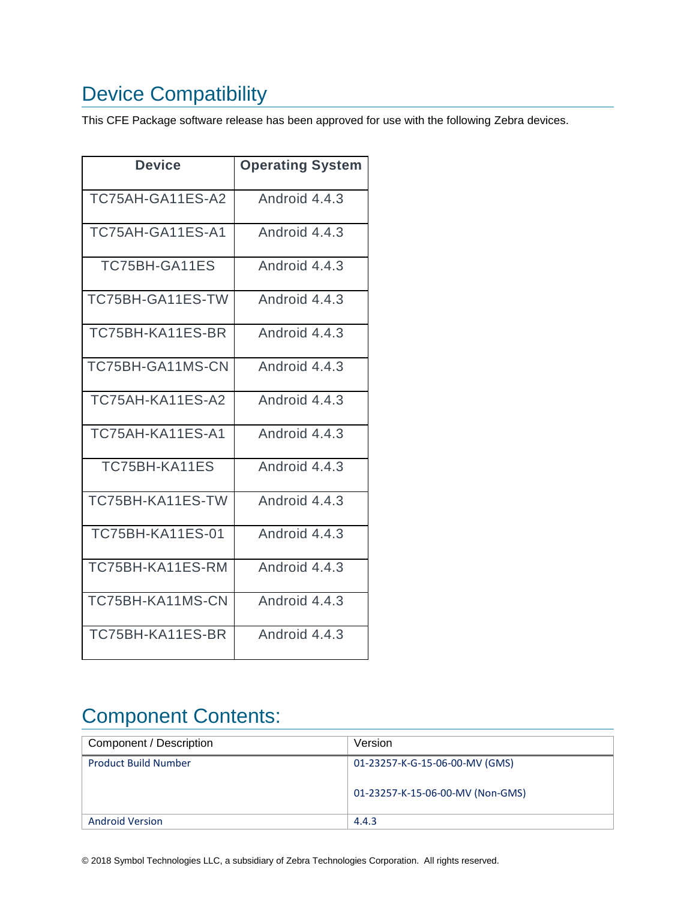# <span id="page-2-0"></span>Device Compatibility

This CFE Package software release has been approved for use with the following Zebra devices.

| Device                  | <b>Operating System</b> |
|-------------------------|-------------------------|
| TC75AH-GA11ES-A2        | Android 4.4.3           |
| TC75AH-GA11ES-A1        | Android 4.4.3           |
| TC75BH-GA11ES           | Android 4.4.3           |
| TC75BH-GA11ES-TW        | Android 4.4.3           |
| TC75BH-KA11ES-BR        | Android 4.4.3           |
| TC75BH-GA11MS-CN        | Android 4.4.3           |
| TC75AH-KA11ES-A2        | Android 4.4.3           |
| TC75AH-KA11ES-A1        | Android 4.4.3           |
| TC75BH-KA11ES           | Android 4.4.3           |
| TC75BH-KA11ES-TW        | Android 4.4.3           |
| <b>TC75BH-KA11ES-01</b> | Android 4.4.3           |
| TC75BH-KA11ES-RM        | Android 4.4.3           |
| TC75BH-KA11MS-CN        | Android 4.4.3           |
| TC75BH-KA11ES-BR        | Android 4.4.3           |

## <span id="page-2-1"></span>Component Contents:

| Component / Description     | Version                                                            |
|-----------------------------|--------------------------------------------------------------------|
| <b>Product Build Number</b> | 01-23257-K-G-15-06-00-MV (GMS)<br>01-23257-K-15-06-00-MV (Non-GMS) |
| <b>Android Version</b>      | 4.4.3                                                              |

© 2018 Symbol Technologies LLC, a subsidiary of Zebra Technologies Corporation. All rights reserved.